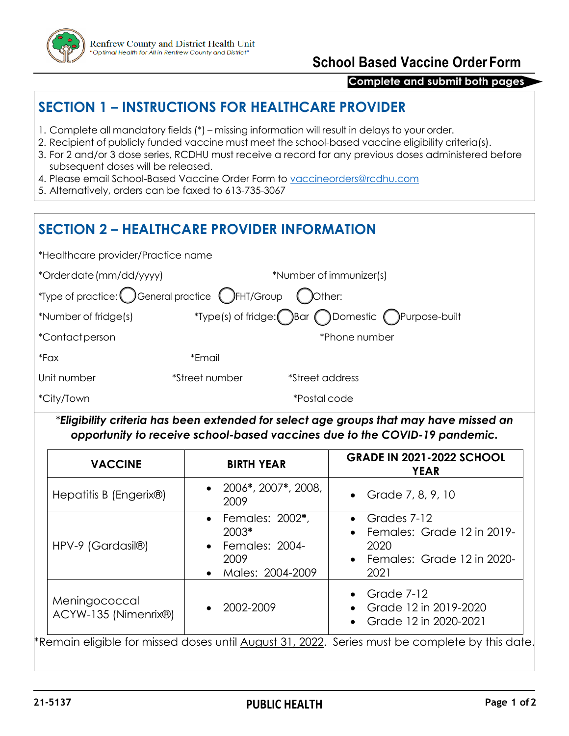

## **School Based Vaccine OrderForm**

### **Complete and submit both pages**

## **SECTION 1 – INSTRUCTIONS FOR HEALTHCARE PROVIDER**

- 1. Complete all mandatory fields (\*) missing information will result in delays to your order.
- 2. Recipient of publicly funded vaccine must meet the school-based vaccine eligibility criteria(s).
- 3. For 2 and/or 3 dose series, RCDHU must receive a record for any previous doses administered before subsequent doses will be released.
- 4. Please email School-Based Vaccine Order Form to [vaccineorders@rcdhu.com](mailto:vaccineorders@rcdhu.com)
- 5. Alternatively, orders can be faxed to 613-735-3067

# **SECTION 2 – HEALTHCARE PROVIDER INFORMATION**

| *Healthcare provider/Practice name                                                  |                |                                                |  |  |  |  |  |
|-------------------------------------------------------------------------------------|----------------|------------------------------------------------|--|--|--|--|--|
| *Order date (mm/dd/yyyy)                                                            |                | *Number of immunizer(s)                        |  |  |  |  |  |
| *Type of practice: C General practice (C FHT/Group<br>$\bigcirc$ ) $\bigcirc$ ther: |                |                                                |  |  |  |  |  |
| *Number of fridge(s)                                                                |                | *Type(s) of fridge: Bar Domestic Purpose-built |  |  |  |  |  |
| <i>*Contactperson</i>                                                               |                | *Phone number                                  |  |  |  |  |  |
| $*Fax$                                                                              | *Email         |                                                |  |  |  |  |  |
| Unit number                                                                         | *Street number | <i><b>*Street address</b></i>                  |  |  |  |  |  |
| <i>*City/Town</i>                                                                   |                | <i>*Postal</i> code                            |  |  |  |  |  |

*\*Eligibility criteria has been extended for select age groups that may have missed an opportunity to receive school-based vaccines due to the COVID-19 pandemic.* 

| <b>VACCINE</b>                        | <b>BIRTH YEAR</b>                                                                 | <b>GRADE IN 2021-2022 SCHOOL</b><br><b>YEAR</b>                                                         |  |
|---------------------------------------|-----------------------------------------------------------------------------------|---------------------------------------------------------------------------------------------------------|--|
| Hepatitis B (Engerix®)                | • $2006$ <sup>*</sup> , $2007$ <sup>*</sup> , $2008$ ,<br>2009                    | • Grade $7, 8, 9, 10$                                                                                   |  |
| HPV-9 (Gardasil®)                     | • Females: 2002*,<br>$2003*$<br><b>Females: 2004-</b><br>2009<br>Males: 2004-2009 | • Grades $7-12$<br>$\bullet$ Females: Grade 12 in 2019-<br>2020<br>• Females: Grade 12 in 2020-<br>2021 |  |
| Meningococcal<br>ACYW-135 (Nimenrix®) | 2002-2009                                                                         | • Grade $7-12$<br>Grade 12 in 2019-2020<br>$\bullet$<br>Grade 12 in 2020-2021                           |  |